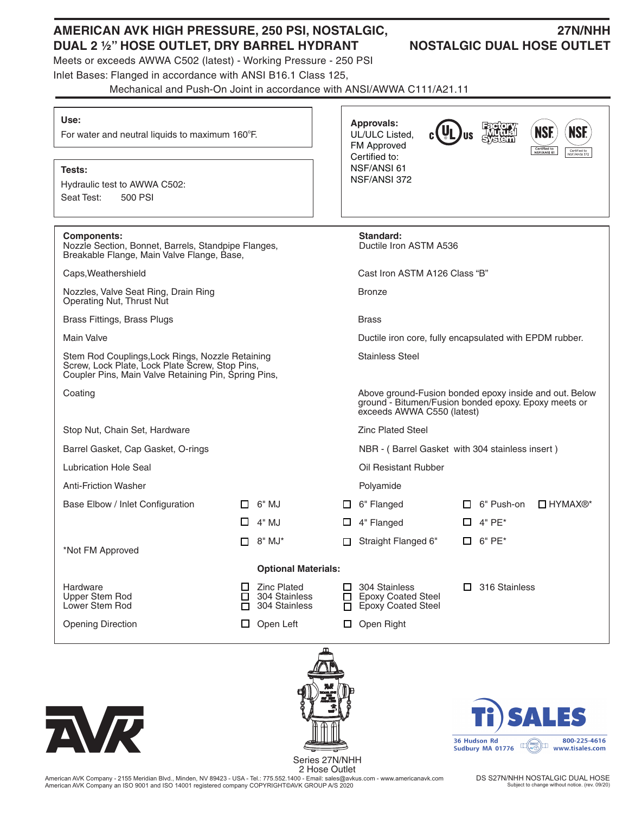# **AMERICAN AVK HIGH PRESSURE, 250 PSI, NOSTALGIC, 27N/NHH DUAL 2 1/2" HOSE OUTLET, DRY BARREL HYDRANT NOSTALGIC DUAL HOSE OUTLET**

# Meets or exceeds AWWA C502 (latest) - Working Pressure - 250 PSI

Inlet Bases: Flanged in accordance with ANSI B16.1 Class 125,

Mechanical and Push-On Joint in accordance with ANSI/AWWA C111/A21.11

### **Use:**

For water and neutral liquids to maximum 160°F.

## **Tests:**

Hydraulic test to AWWA C502: Seat Test: 500 PSI

**Components:**<br> **Standard:**<br> **Nozzle Section.** Bonnet. Barrels. Standpipe Flanges. Ductile Iron ASTM A536 Nozzle Section, Bonnet, Barrels, Standpipe Flanges, Breakable Flange, Main Valve Flange, Base,

Caps,Weathershield Cast Iron ASTM A126 Class "B"

Nozzles, Valve Seat Ring, Drain Ring Bronze Operating Nut, Thrust Nut

Brass Fittings, Brass Plugs Brass Brass Brass Brass Brass Brass Brass Brass Brass Brass Brass Brass Brass Brass Brass Brass Brass Brass Brass Brass Brass Brass Brass Brass Brass Brass Brass Brass Brass Brass Brass Brass Br

Main Valve **Ductile iron core, fully encapsulated with EPDM rubber.** Ductile iron core, fully encapsulated with EPDM rubber.

Stem Rod Couplings, Lock Rings, Nozzle Retaining Stainless Steel Screw, Lock Plate, Lock Plate Screw, Stop Pins, Coupler Pins, Main Valve Retaining Pin, Spring Pins,

Coating Coating Coating Above ground-Fusion bonded epoxy inside and out. Below

Stop Nut, Chain Set, Hardware **Zinc Plated Steel** Zinc Plated Steel

Lubrication Hole Seal **Network** Contract Contract Contract Contract Contract Contract Contract Contract Contract Contract Contract Contract Contract Contract Contract Contract Contract Contract Contract Contract Contract C

Anti-Friction Washer **Polyamide** 

\*Not FM Approved

Opening Direction **D** Open Left **D** Open Right



800-225-4616 36 Hudson Rd 

 Series 27N/NHH 2 Hose Outlet

ground - Bitumen/Fusion bonded epoxy. Epoxy meets or exceeds AWWA C550 (latest)

Barrel Gasket, Cap Gasket, O-rings NBR - ( Barrel Gasket with 304 stainless insert )

**Approvals:** UL/ULC Listed, FM Approved Certified to: NSF/ANSI 61 NSF/ANSI 372

- Base Elbow / Inlet Configuration  $\Box$  6" MJ  $\Box$  6" Flanged  $\Box$  6" Push-on  $\Box$  HYMAX®\*  $\Box$  4" MJ  $\Box$  4" Flanged  $\Box$  4" PE\*
	- $\Box$  8" MJ\*  $\Box$  Straight Flanged 6"  $\Box$  6" PE\*
- 

## **Optional Materials:**

- 
- 
- Hardware Zinc Plated 304 Stainless 316 Stainless Upper Stem Rod 304 Stainless Epoxy Coated Steel  $\Box$  304 Stainless  $\Box$  Epoxy Coated Steel
- 



American AVK Company - 2155 Meridian Blvd., Minden, NV 89423 - USA - Tel.: 775.552.1400 - Email: sales@avkus.com - www.americanavk.com American AVK Company an ISO 9001 and ISO 14001 registered company COPYRIGHT©AVK GROUP A/S 2020

DS S27N/NHH NOSTALGIC DUAL HOSE Subject to change without notice. (rev. 09/20)

ПŚ